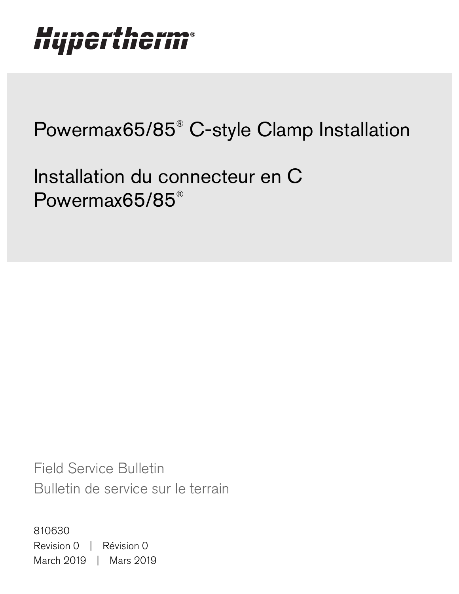### **Liumawihawm** IIYµGI LIIl 67 I

# Powermax65/85® C-style Clamp Installation

Installation du connecteur en C Powermax65/85®

Field Service Bulletin Bulletin de service sur le terrain

810630 Revision 0 | Révision 0 March 2019 | Mars 2019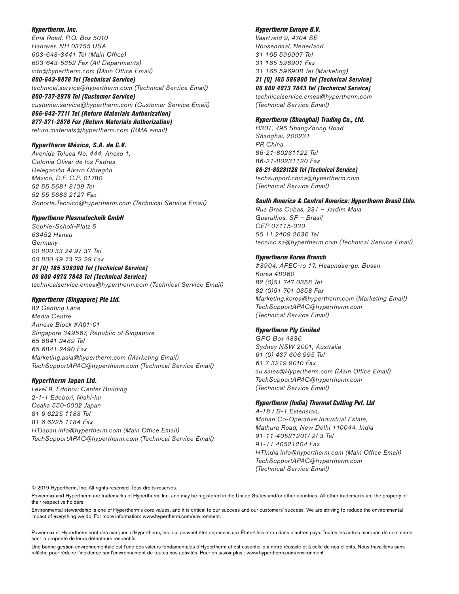### Hypertherm, Inc.

Etna Road, P.O. Box 5010 Hanover, NH 03755 USA 603-643-3441 Tel (Main Office) 603-643-5352 Fax (All Departments) info@hypertherm.com (Main Office Email)

800-643-9878 Tel (Technical Service) technical.service@hypertherm.com (Technical Service Email)

800-737-2978 Tel (Customer Service) customer.service@hypertherm.com (Customer Service Email) 866-643-7711 Tel (Return Materials Authorization)

877-371-2876 Fax (Return Materials Authorization) return.materials@hypertherm.com (RMA email)

### Hypertherm México, S.A. de C.V.

Avenida Toluca No. 444, Anexo 1, Colonia Olivar de los Padres Delegación Álvaro Obregón México, D.F. C.P. 01780 52 55 5681 8109 Tel 52 55 5683 2127 Fax Soporte.Tecnico@hypertherm.com (Technical Service Email)

### Hypertherm Plasmatechnik GmbH

Sophie-Scholl-Platz 5 63452 Hanau **Germany** 00 800 33 24 97 37 Tel 00 800 49 73 73 29 Fax

### 31 (0) 165 596900 Tel (Technical Service)

00 800 4973 7843 Tel (Technical Service) technicalservice.emea@hypertherm.com (Technical Service Email)

### Hypertherm (Singapore) Pte Ltd.

82 Genting Lane Media Centre Annexe Block #A01-01 Singapore 349567, Republic of Singapore 65 6841 2489 Tel 65 6841 2490 Fax Marketing.asia@hypertherm.com (Marketing Email) TechSupportAPAC@hypertherm.com (Technical Service Email)

### Hypertherm Japan Ltd.

Level 9, Edobori Center Building 2-1-1 Edobori, Nishi-ku Osaka 550-0002 Japan 81 6 6225 1183 Tel 81 6 6225 1184 Fax HTJapan.info@hypertherm.com (Main Office Email) TechSupportAPAC@hypertherm.com (Technical Service Email)

### Hypertherm Europe B.V.

Vaartveld 9, 4704 SE Roosendaal, Nederland 31 165 596907 Tel 31 165 596901 Fax 31 165 596908 Tel (Marketing)

31 (0) 165 596900 Tel (Technical Service) 00 800 4973 7843 Tel (Technical Service)

technicalservice.emea@hypertherm.com (Technical Service Email)

#### Hypertherm (Shanghai) Trading Co., Ltd.

B301, 495 ShangZhong Road Shanghai, 200231 PR China 86-21-80231122 Tel 86-21-80231120 Fax

86-21-80231128 Tel (Technical Service)

techsupport.china@hypertherm.com (Technical Service Email)

### South America & Central America: Hypertherm Brasil Ltda.

Rua Bras Cubas, 231 – Jardim Maia Guarulhos, SP – Brasil CEP 07115-030 55 11 2409 2636 Tel tecnico.sa@hypertherm.com (Technical Service Email)

### Hypertherm Korea Branch

#3904. APEC-ro 17. Heaundae-gu. Busan. Korea 48060 82 (0)51 747 0358 Tel 82 (0)51 701 0358 Fax Marketing.korea@hypertherm.com (Marketing Email) TechSupportAPAC@hypertherm.com (Technical Service Email)

### Hypertherm Pty Limited

GPO Box 4836 Sydney NSW 2001, Australia 61 (0) 437 606 995 Tel 61 7 3219 9010 Fax au.sales@Hypertherm.com (Main Office Email) TechSupportAPAC@hypertherm.com (Technical Service Email)

### Hypertherm (India) Thermal Cutting Pvt. Ltd

A-18 / B-1 Extension, Mohan Co-Operative Industrial Estate, Mathura Road, New Delhi 110044, India 91-11-40521201/ 2/ 3 Tel 91-11 40521204 Fax HTIndia.info@hypertherm.com (Main Office Email) TechSupportAPAC@hypertherm.com (Technical Service Email)

© 2019 Hypertherm, Inc. All rights reserved. Tous droits réservés.

Powermax and Hypertherm are trademarks of Hypertherm, Inc. and may be registered in the United States and/or other countries. All other trademarks are the property of their respective holders.

[Environmental stewardship is one of Hypertherm's core values, and it is critical to our success and our customers' success. We are striving to reduce the environmental](https://www.hypertherm.com/environment)  impact of everything we do. For more information: www.hypertherm.com/environment.

Powermax et Hypertherm sont des marques d'Hypertherm, Inc. qui peuvent être déposées aux États-Unis et/ou dans d'autres pays. Toutes les autres marques de commerce sont la propriété de leurs détenteurs respectifs.

Une bonne gestion environnementale est l'une des valeurs fondamentales d'Hypertherm et est essentielle à notre réussite et à celle de nos clients. Nous travaillons sans relâche pour réduire l'incidence sur l'environnement de toutes nos activités. Pour en savoir plus : www.hypertherm.com/environment.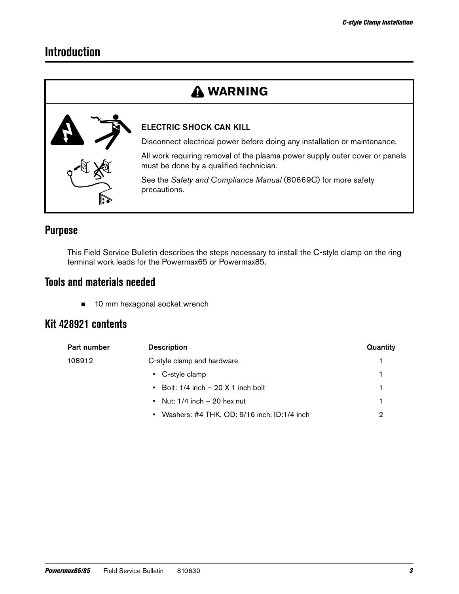## **Introduction**

## **WARNING**



### ELECTRIC SHOCK CAN KILL

Disconnect electrical power before doing any installation or maintenance.

All work requiring removal of the plasma power supply outer cover or panels must be done by a qualified technician.

See the Safety and Compliance Manual (80669C) for more safety precautions.

## **Purpose**

This Field Service Bulletin describes the steps necessary to install the C-style clamp on the ring terminal work leads for the Powermax65 or Powermax85.

## **Tools and materials needed**

■ 10 mm hexagonal socket wrench

## **Kit 428921 contents**

| Part number | <b>Description</b>                            | Quantity |
|-------------|-----------------------------------------------|----------|
| 108912      | C-style clamp and hardware                    |          |
|             | • C-style clamp                               |          |
|             | $\bullet$ Bolt: 1/4 inch – 20 X 1 inch bolt   |          |
|             | • Nut: $1/4$ inch $-20$ hex nut               |          |
|             | • Washers: #4 THK, OD: 9/16 inch, ID:1/4 inch | 2        |
|             |                                               |          |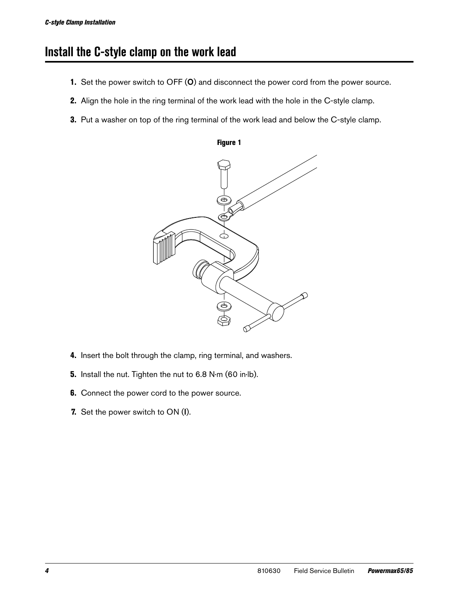## **Install the C-style clamp on the work lead**

- 1. Set the power switch to OFF (O) and disconnect the power cord from the power source.
- 2. Align the hole in the ring terminal of the work lead with the hole in the C-style clamp.
- **3.** Put a washer on top of the ring terminal of the work lead and below the C-style clamp.



Figure 1

- 4. Insert the bolt through the clamp, ring terminal, and washers.
- 5. Install the nut. Tighten the nut to 6.8 N∙m (60 in∙lb).
- **6.** Connect the power cord to the power source.
- 7. Set the power switch to ON (I).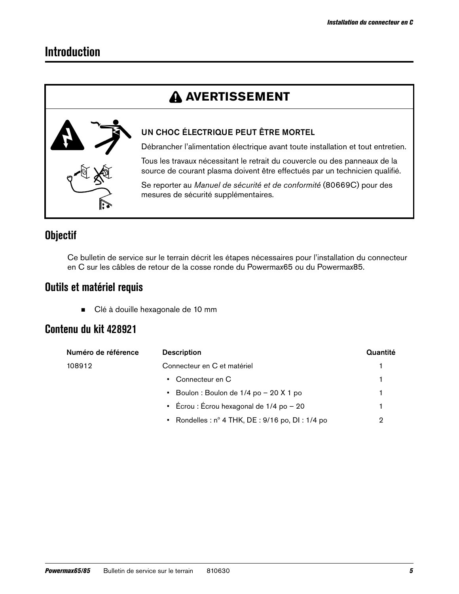## **Introduction**

## **A AVERTISSEMENT**



### UN CHOC ÉLECTRIQUE PEUT ÊTRE MORTEL

Débrancher l'alimentation électrique avant toute installation et tout entretien.

Tous les travaux nécessitant le retrait du couvercle ou des panneaux de la source de courant plasma doivent être effectués par un technicien qualifié.

Se reporter au Manuel de sécurité et de conformité (80669C) pour des mesures de sécurité supplémentaires.

## **Objectif**

Ce bulletin de service sur le terrain décrit les étapes nécessaires pour l'installation du connecteur en C sur les câbles de retour de la cosse ronde du Powermax65 ou du Powermax85.

## **Outils et matériel requis**

**Clé à douille hexagonale de 10 mm** 

## **Contenu du kit 428921**

| Numéro de référence | <b>Description</b>                                      | Quantité |
|---------------------|---------------------------------------------------------|----------|
| 108912              | Connecteur en C et matériel                             |          |
|                     | • Connecteur en C                                       |          |
|                     | • Boulon : Boulon de $1/4$ po $-$ 20 X 1 po             |          |
|                     | • Écrou : Écrou hexagonal de 1/4 po $-20$               |          |
|                     | • Rondelles: $n^{\circ}$ 4 THK, DE: 9/16 po, DI: 1/4 po |          |